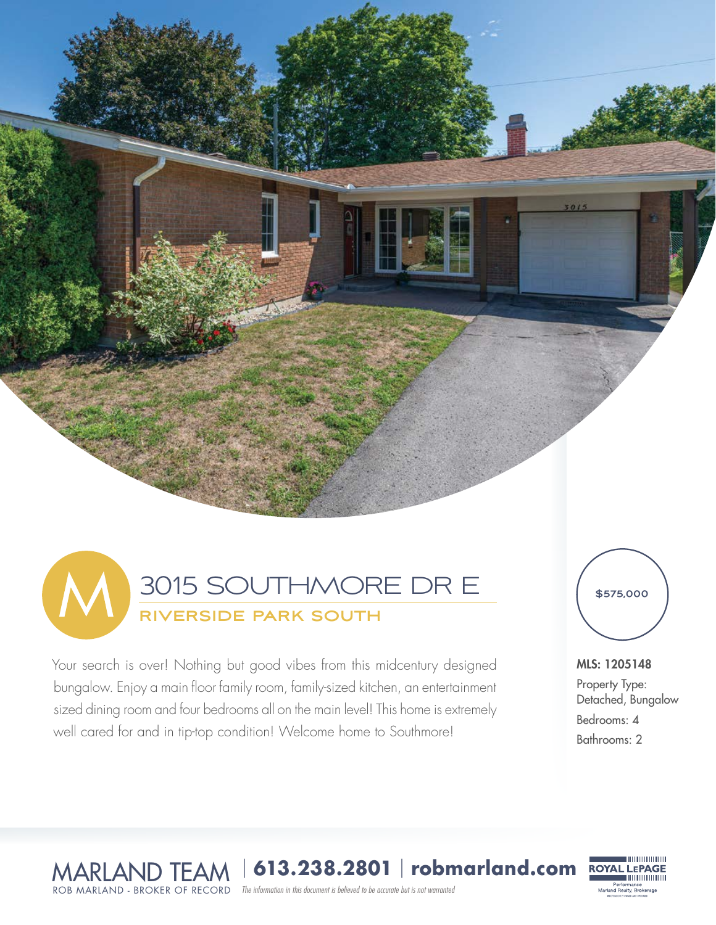

Your search is over! Nothing but good vibes from this midcentury designed bungalow. Enjoy a main floor family room, family-sized kitchen, an entertainment sized dining room and four bedrooms all on the main level! This home is extremely well cared for and in tip-top condition! Welcome home to Southmore!



 $5015$ 

### MLS: 1205148

Property Type: Detached, Bungalow Bedrooms: 4 Bathrooms: 2

*The information in this document is believed to be accurate but is not warranted*  MARLAND TEAM <sup>|</sup> **613.238.2801** | **robmarland.com** ROB MARLAND - BROKER OF RECORD

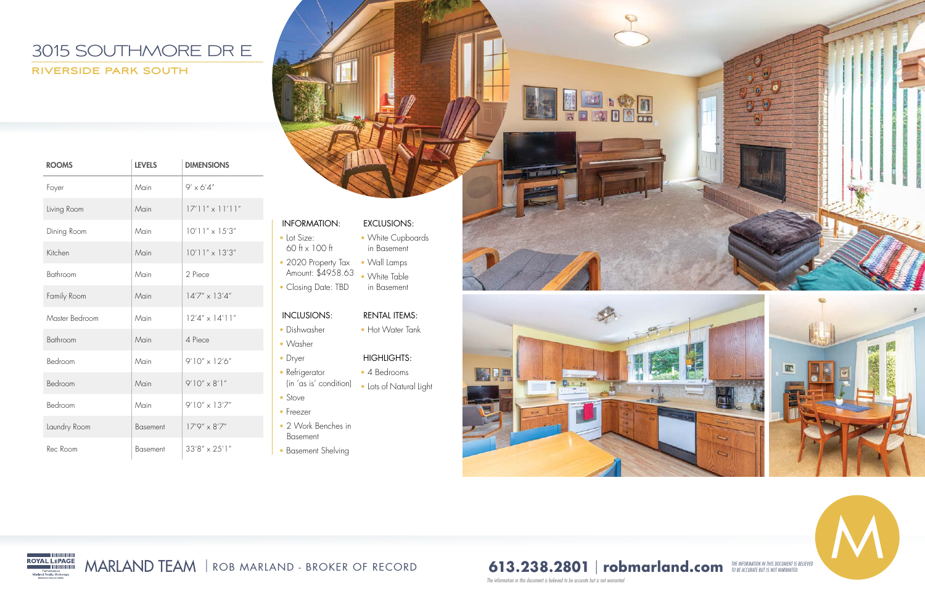- 60 ft x 100 ft
- 2020 Property Tax Amount: \$4958.63
- Closing Date: TBD

• Lot Size:

- Dryer
- Refrigerator
- (in 'as is' condition)
- Stove
- Freezer
- 2 Work Benches in Basement
- Basement Shelving

### INCLUSIONS:

- Dishwasher
- Washer

# INFORMATION: EXCLUSIONS:

- White Cupboards in Basement
- Wall Lamps
- White Table in Basement

### RENTAL ITEMS:

• Hot Water Tank

### HIGHLIGHTS:

- 4 Bedrooms
- Lots of Natural Light





*The information in this document is believed to be accurate but is not warranted* 

**The Co** 







| <b>ROOMS</b>   | <b>LEVELS</b>   | <b>DIMENSIONS</b>           |
|----------------|-----------------|-----------------------------|
| Foyer          | Main            | $9' \times 6'4''$           |
| Living Room    | Main            | $ 7'1 '' \times  1'1 ''$    |
| Dining Room    | Main            | $10'11'' \times 15'3''$     |
| Kitchen        | Main            | $10'$ l $1'' \times 13'3''$ |
| Bathroom       | Main            | 2 Piece                     |
| Family Room    | Main            | $14'7'' \times 13'4''$      |
| Master Bedroom | Main            | $12'4'' \times 14'11''$     |
| Bathroom       | Main            | 4 Piece                     |
| Bedroom        | Main            | $9'10'' \times 12'6''$      |
| Bedroom        | Main            | $9'10'' \times 8'1''$       |
| Bedroom        | Main            | $9'10'' \times 13'7''$      |
| Laundry Room   | <b>Basement</b> | $17'9'' \times 8'7''$       |
| Rec Room       | <b>Basement</b> | $33'8'' \times 25'1''$      |



# **613.238.2801 | robmarland.com** *THE INFORMATION IN THIS DOCUMENT IS BELIEVED*

## 3015 SOUTHMORE DR E **RIVERSIDE PARK SOUTH**